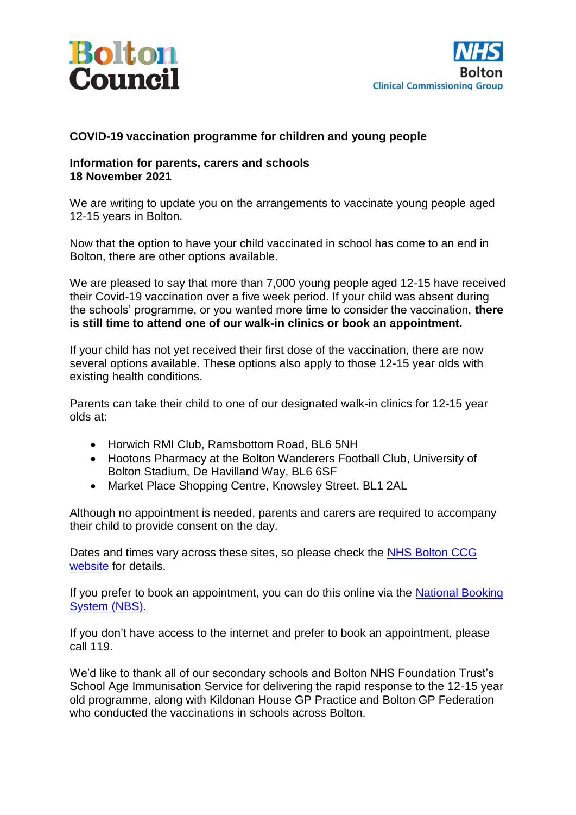



## **COVID-19 vaccination programme for children and young people**

## **Information for parents, carers and schools 18 November 2021**

We are writing to update you on the arrangements to vaccinate young people aged 12-15 years in Bolton.

Now that the option to have your child vaccinated in school has come to an end in Bolton, there are other options available.

We are pleased to say that more than 7,000 young people aged 12-15 have received their Covid-19 vaccination over a five week period. If your child was absent during the schools' programme, or you wanted more time to consider the vaccination, **there is still time to attend one of our walk-in clinics or book an appointment.**

If your child has not yet received their first dose of the vaccination, there are now several options available. These options also apply to those 12-15 year olds with existing health conditions.

Parents can take their child to one of our designated walk-in clinics for 12-15 year olds at:

- Horwich RMI Club, Ramsbottom Road, BL6 5NH
- Hootons Pharmacy at the Bolton Wanderers Football Club, University of Bolton Stadium, De Havilland Way, BL6 6SF
- Market Place Shopping Centre, Knowsley Street, BL1 2AL

Although no appointment is needed, parents and carers are required to accompany their child to provide consent on the day.

Dates and times vary across these sites, so please check the [NHS Bolton CCG](https://www.boltonccg.nhs.uk/patient-zone/coronavirus)  [website](https://www.boltonccg.nhs.uk/patient-zone/coronavirus) for details.

If you prefer to book an appointment, you can do this online via the National Booking [System \(NBS\).](https://www.nhs.uk/conditions/coronavirus-covid-19/coronavirus-vaccination/book-coronavirus-vaccination/book-or-manage-a-1st-or-2nd-dose-of-the-coronavirus-covid-19-vaccination/)

If you don't have access to the internet and prefer to book an appointment, please call 119.

We'd like to thank all of our secondary schools and Bolton NHS Foundation Trust's School Age Immunisation Service for delivering the rapid response to the 12-15 year old programme, along with Kildonan House GP Practice and Bolton GP Federation who conducted the vaccinations in schools across Bolton.